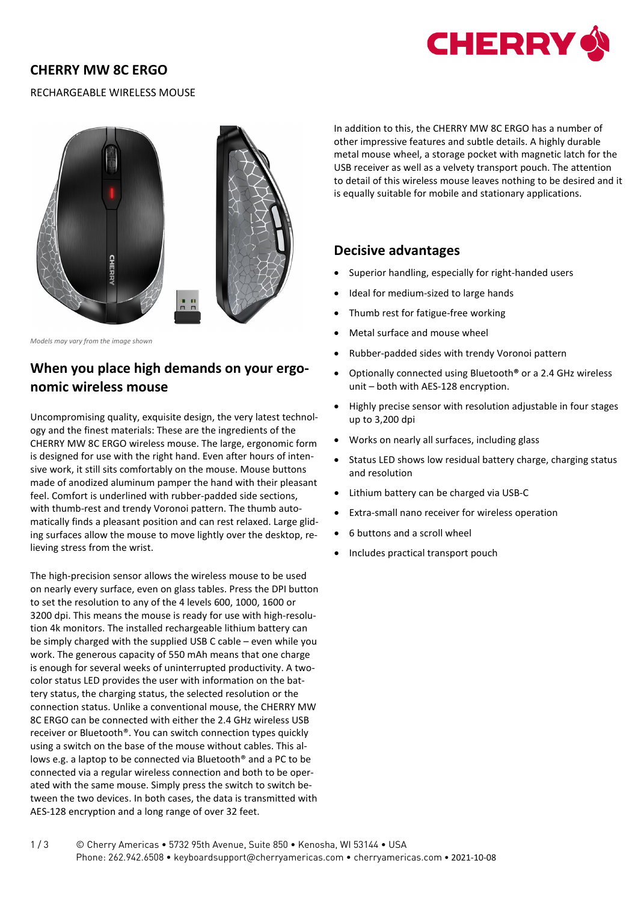## **CHERRY MW 8C ERGO**



### RECHARGEABLE WIRELESS MOUSE



*Models may vary from the image shown*

# **When you place high demands on your ergonomic wireless mouse**

Uncompromising quality, exquisite design, the very latest technology and the finest materials: These are the ingredients of the CHERRY MW 8C ERGO wireless mouse. The large, ergonomic form is designed for use with the right hand. Even after hours of intensive work, it still sits comfortably on the mouse. Mouse buttons made of anodized aluminum pamper the hand with their pleasant feel. Comfort is underlined with rubber-padded side sections, with thumb-rest and trendy Voronoi pattern. The thumb automatically finds a pleasant position and can rest relaxed. Large gliding surfaces allow the mouse to move lightly over the desktop, relieving stress from the wrist.

The high-precision sensor allows the wireless mouse to be used on nearly every surface, even on glass tables. Press the DPI button to set the resolution to any of the 4 levels 600, 1000, 1600 or 3200 dpi. This means the mouse is ready for use with high-resolution 4k monitors. The installed rechargeable lithium battery can be simply charged with the supplied USB C cable – even while you work. The generous capacity of 550 mAh means that one charge is enough for several weeks of uninterrupted productivity. A twocolor status LED provides the user with information on the battery status, the charging status, the selected resolution or the connection status. Unlike a conventional mouse, the CHERRY MW 8C ERGO can be connected with either the 2.4 GHz wireless USB receiver or Bluetooth®. You can switch connection types quickly using a switch on the base of the mouse without cables. This allows e.g. a laptop to be connected via Bluetooth® and a PC to be connected via a regular wireless connection and both to be operated with the same mouse. Simply press the switch to switch between the two devices. In both cases, the data is transmitted with AES-128 encryption and a long range of over 32 feet.

In addition to this, the CHERRY MW 8C ERGO has a number of other impressive features and subtle details. A highly durable metal mouse wheel, a storage pocket with magnetic latch for the USB receiver as well as a velvety transport pouch. The attention to detail of this wireless mouse leaves nothing to be desired and it is equally suitable for mobile and stationary applications.

### **Decisive advantages**

- Superior handling, especially for right-handed users
- Ideal for medium-sized to large hands
- Thumb rest for fatigue-free working
- Metal surface and mouse wheel
- Rubber-padded sides with trendy Voronoi pattern
- Optionally connected using Bluetooth**®** or a 2.4 GHz wireless unit – both with AES-128 encryption.
- Highly precise sensor with resolution adjustable in four stages up to 3,200 dpi
- Works on nearly all surfaces, including glass
- Status LED shows low residual battery charge, charging status and resolution
- Lithium battery can be charged via USB-C
- Extra-small nano receiver for wireless operation
- 6 buttons and a scroll wheel
- Includes practical transport pouch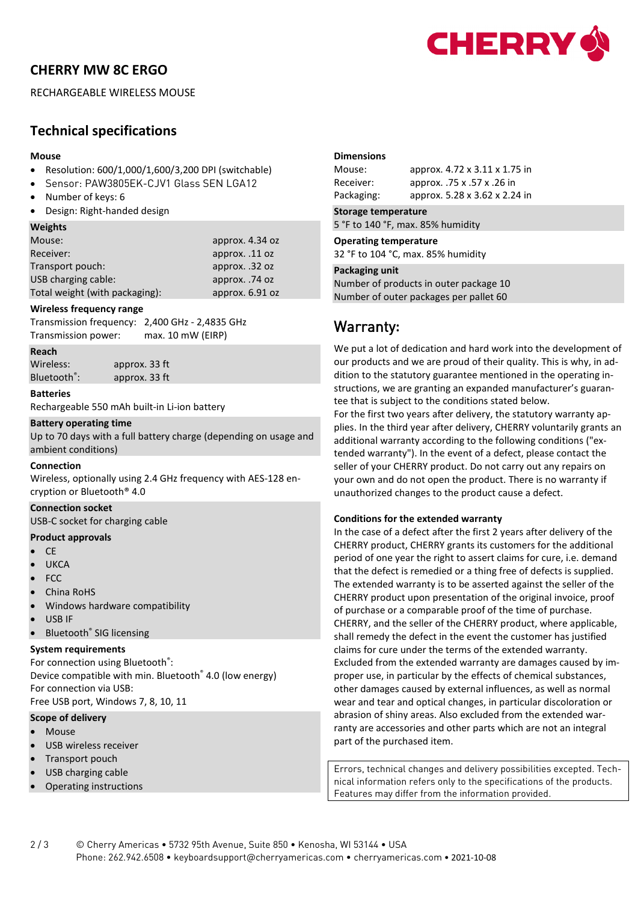# **CHERRY MW 8C ERGO**



RECHARGEABLE WIRELESS MOUSE

# **Technical specifications**

#### **Mouse**

- Resolution: 600/1,000/1,600/3,200 DPI (switchable)
- Sensor: PAW3805EK-CJV1 Glass SEN LGA12
- Number of keys: 6
- Design: Right-handed design

#### **Weights**

| Mouse:                         | approx. 4.34 oz |
|--------------------------------|-----------------|
| Receiver:                      | approx. .11 oz  |
| Transport pouch:               | approx. .32 oz  |
| USB charging cable:            | approx. .74 oz  |
| Total weight (with packaging): | approx. 6.91 oz |

#### **Wireless frequency range**

Transmission frequency: 2,400 GHz - 2,4835 GHz Transmission power: max. 10 mW (EIRP)

**Reach**

Wireless: approx. 33 ft Bluetooth® : approx. 33 ft

**Batteries**

Rechargeable 550 mAh built-in Li-ion battery

#### **Battery operating time**

Up to 70 days with a full battery charge (depending on usage and ambient conditions)

#### **Connection**

Wireless, optionally using 2.4 GHz frequency with AES-128 encryption or Bluetooth® 4.0

#### **Connection socket**

USB-C socket for charging cable

#### **Product approvals**

- CE
- **UKCA**
- FCC
- China RoHS
- Windows hardware compatibility
- USB IF
- Bluetooth<sup>®</sup> SIG licensing

#### **System requirements**

For connection using Bluetooth<sup>®</sup>: Device compatible with min. Bluetooth® 4.0 (low energy) For connection via USB: Free USB port, Windows 7, 8, 10, 11

### **Scope of delivery**

- Mouse
- USB wireless receiver
- Transport pouch
- USB charging cable
- Operating instructions

#### **Dimensions**

| Mouse:     | approx. 4.72 x 3.11 x 1.75 in |
|------------|-------------------------------|
| Receiver:  | approx. .75 x .57 x .26 in    |
| Packaging: | approx. 5.28 x 3.62 x 2.24 in |

#### **Storage temperature**

5 °F to 140 °F, max. 85% humidity

#### **Operating temperature**

32 °F to 104 °C, max. 85% humidity

#### **Packaging unit**

Number of products in outer package 10 Number of outer packages per pallet 60

# Warranty**:**

We put a lot of dedication and hard work into the development of our products and we are proud of their quality. This is why, in addition to the statutory guarantee mentioned in the operating instructions, we are granting an expanded manufacturer's guarantee that is subject to the conditions stated below.

For the first two years after delivery, the statutory warranty applies. In the third year after delivery, CHERRY voluntarily grants an additional warranty according to the following conditions ("extended warranty"). In the event of a defect, please contact the seller of your CHERRY product. Do not carry out any repairs on your own and do not open the product. There is no warranty if unauthorized changes to the product cause a defect.

#### **Conditions for the extended warranty**

In the case of a defect after the first 2 years after delivery of the CHERRY product, CHERRY grants its customers for the additional period of one year the right to assert claims for cure, i.e. demand that the defect is remedied or a thing free of defects is supplied. The extended warranty is to be asserted against the seller of the CHERRY product upon presentation of the original invoice, proof of purchase or a comparable proof of the time of purchase. CHERRY, and the seller of the CHERRY product, where applicable, shall remedy the defect in the event the customer has justified claims for cure under the terms of the extended warranty. Excluded from the extended warranty are damages caused by improper use, in particular by the effects of chemical substances, other damages caused by external influences, as well as normal wear and tear and optical changes, in particular discoloration or abrasion of shiny areas. Also excluded from the extended warranty are accessories and other parts which are not an integral part of the purchased item.

Errors, technical changes and delivery possibilities excepted. Technical information refers only to the specifications of the products. Features may differ from the information provided.